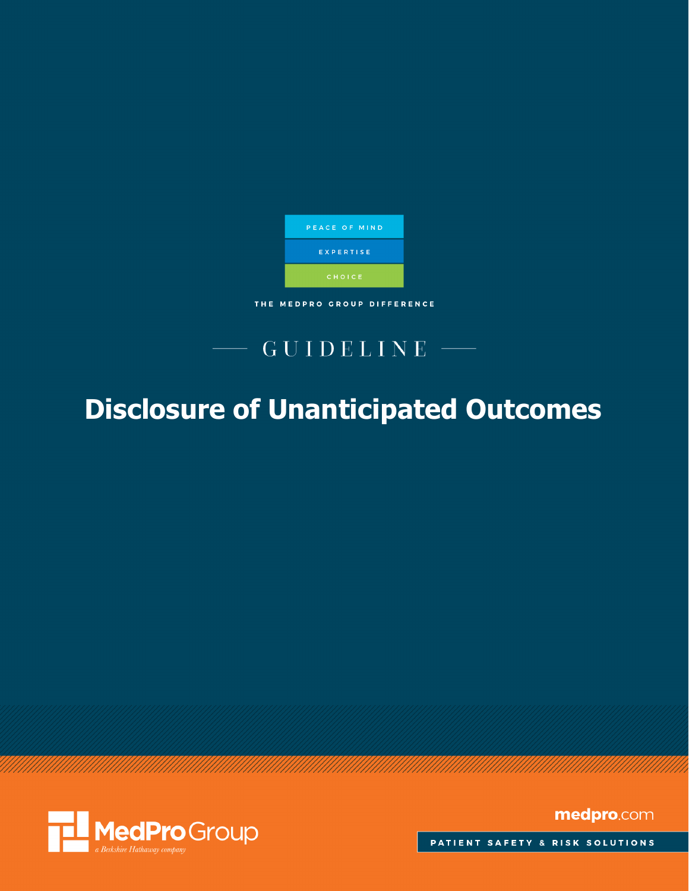

THE MEDPRO GROUP DIFFERENCE

## GUIDELINE

# **Disclosure of Unanticipated Outcomes**



medpro.com

PATIENT SAFETY & RISK SOLUTIONS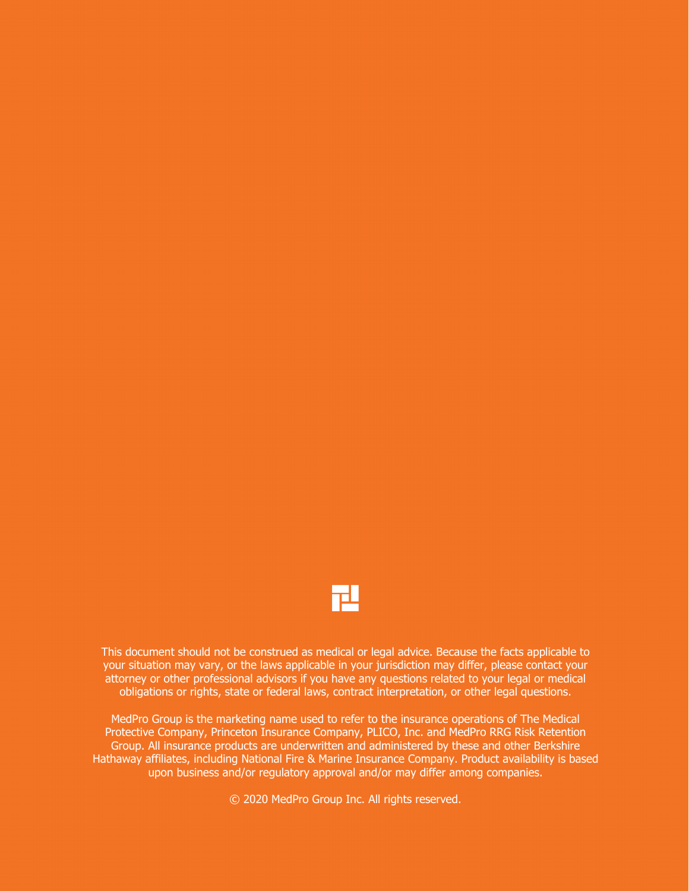

This document should not be construed as medical or legal advice. Because the facts applicable to your situation may vary, or the laws applicable in your jurisdiction may differ, please contact your attorney or other professional advisors if you have any questions related to your legal or medical obligations or rights, state or federal laws, contract interpretation, or other legal questions.

MedPro Group is the marketing name used to refer to the insurance operations of The Medical Protective Company, Princeton Insurance Company, PLICO, Inc. and MedPro RRG Risk Retention Group. All insurance products are underwritten and administered by these and other Berkshire Hathaway affiliates, including National Fire & Marine Insurance Company. Product availability is based upon business and/or regulatory approval and/or may differ among companies.

© 2020 MedPro Group Inc. All rights reserved.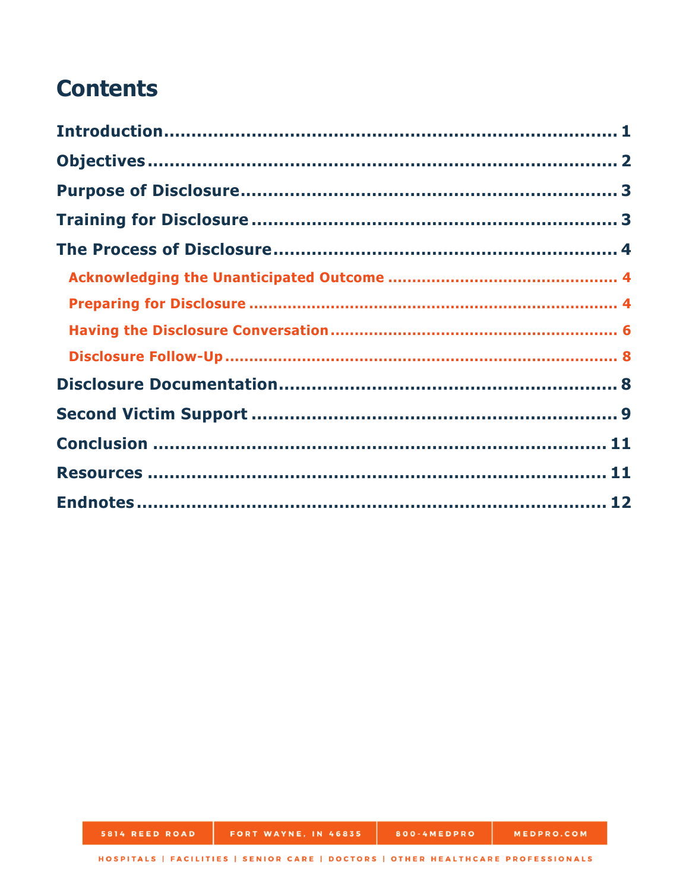## **Contents**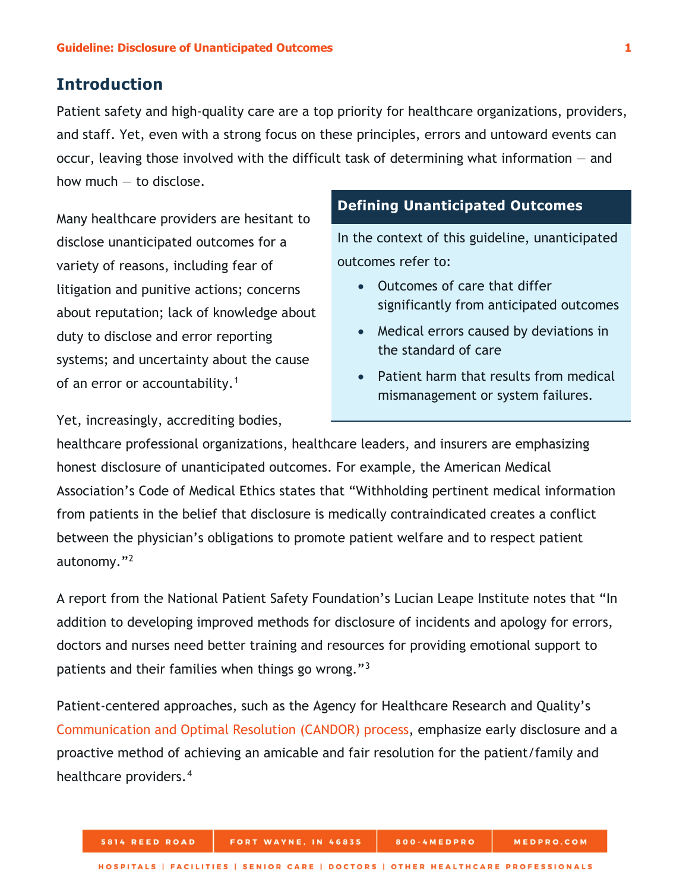## <span id="page-4-0"></span>**Introduction**

Patient safety and high-quality care are a top priority for healthcare organizations, providers, and staff. Yet, even with a strong focus on these principles, errors and untoward events can occur, leaving those involved with the difficult task of determining what information — and how much — to disclose.

Many healthcare providers are hesitant to disclose unanticipated outcomes for a variety of reasons, including fear of litigation and punitive actions; concerns about reputation; lack of knowledge about duty to disclose and error reporting systems; and uncertainty about the cause of an error or accountability.<sup>[1](#page-15-1)</sup>

## **Defining Unanticipated Outcomes**

In the context of this guideline, unanticipated outcomes refer to:

- Outcomes of care that differ significantly from anticipated outcomes
- Medical errors caused by deviations in the standard of care
- Patient harm that results from medical mismanagement or system failures.

Yet, increasingly, accrediting bodies,

healthcare professional organizations, healthcare leaders, and insurers are emphasizing honest disclosure of unanticipated outcomes. For example, the American Medical Association's Code of Medical Ethics states that "Withholding pertinent medical information from patients in the belief that disclosure is medically contraindicated creates a conflict between the physician's obligations to promote patient welfare and to respect patient autonomy."[2](#page-15-2)

A report from the National Patient Safety Foundation's Lucian Leape Institute notes that "In addition to developing improved methods for disclosure of incidents and apology for errors, doctors and nurses need better training and resources for providing emotional support to patients and their families when things go wrong."<sup>[3](#page-15-3)</sup>

Patient-centered approaches, such as the Agency for Healthcare Research and Quality's [Communication and Optimal Resolution \(CANDOR\) process,](https://www.ahrq.gov/patient-safety/capacity/candor/modules.html) emphasize early disclosure and a proactive method of achieving an amicable and fair resolution for the patient/family and healthcare providers.<sup>[4](#page-15-4)</sup>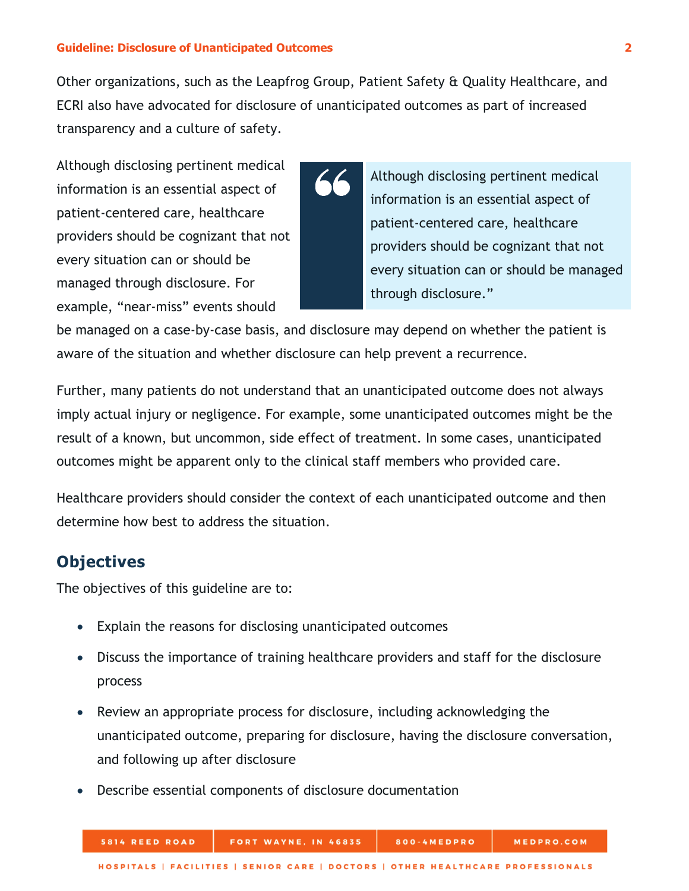Other organizations, such as the Leapfrog Group, Patient Safety & Quality Healthcare, and ECRI also have advocated for disclosure of unanticipated outcomes as part of increased transparency and a culture of safety.

Although disclosing pertinent medical information is an essential aspect of patient-centered care, healthcare providers should be cognizant that not every situation can or should be managed through disclosure. For example, "near-miss" events should

Although disclosing pertinent medical information is an essential aspect of patient-centered care, healthcare providers should be cognizant that not every situation can or should be managed through disclosure."

be managed on a case-by-case basis, and disclosure may depend on whether the patient is aware of the situation and whether disclosure can help prevent a recurrence.

Further, many patients do not understand that an unanticipated outcome does not always imply actual injury or negligence. For example, some unanticipated outcomes might be the result of a known, but uncommon, side effect of treatment. In some cases, unanticipated outcomes might be apparent only to the clinical staff members who provided care.

Healthcare providers should consider the context of each unanticipated outcome and then determine how best to address the situation.

## <span id="page-5-0"></span>**Objectives**

The objectives of this guideline are to:

**5814 REED ROAD** 

- Explain the reasons for disclosing unanticipated outcomes
- Discuss the importance of training healthcare providers and staff for the disclosure process
- Review an appropriate process for disclosure, including acknowledging the unanticipated outcome, preparing for disclosure, having the disclosure conversation, and following up after disclosure
- Describe essential components of disclosure documentation

MEDPRO.COM

800-4MEDPRO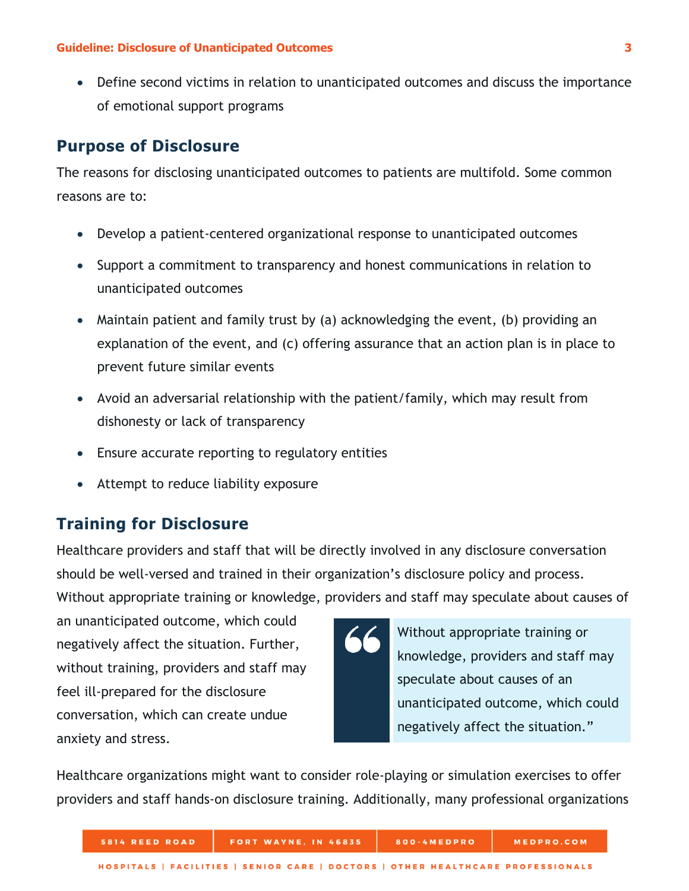• Define second victims in relation to unanticipated outcomes and discuss the importance of emotional support programs

## <span id="page-6-0"></span>**Purpose of Disclosure**

The reasons for disclosing unanticipated outcomes to patients are multifold. Some common reasons are to:

- Develop a patient-centered organizational response to unanticipated outcomes
- Support a commitment to transparency and honest communications in relation to unanticipated outcomes
- Maintain patient and family trust by (a) acknowledging the event, (b) providing an explanation of the event, and (c) offering assurance that an action plan is in place to prevent future similar events
- Avoid an adversarial relationship with the patient/family, which may result from dishonesty or lack of transparency
- Ensure accurate reporting to regulatory entities
- Attempt to reduce liability exposure

## <span id="page-6-1"></span>**Training for Disclosure**

Healthcare providers and staff that will be directly involved in any disclosure conversation should be well-versed and trained in their organization's disclosure policy and process. Without appropriate training or knowledge, providers and staff may speculate about causes of

an unanticipated outcome, which could negatively affect the situation. Further, without training, providers and staff may feel ill-prepared for the disclosure conversation, which can create undue anxiety and stress.



Healthcare organizations might want to consider role-playing or simulation exercises to offer providers and staff hands-on disclosure training. Additionally, many professional organizations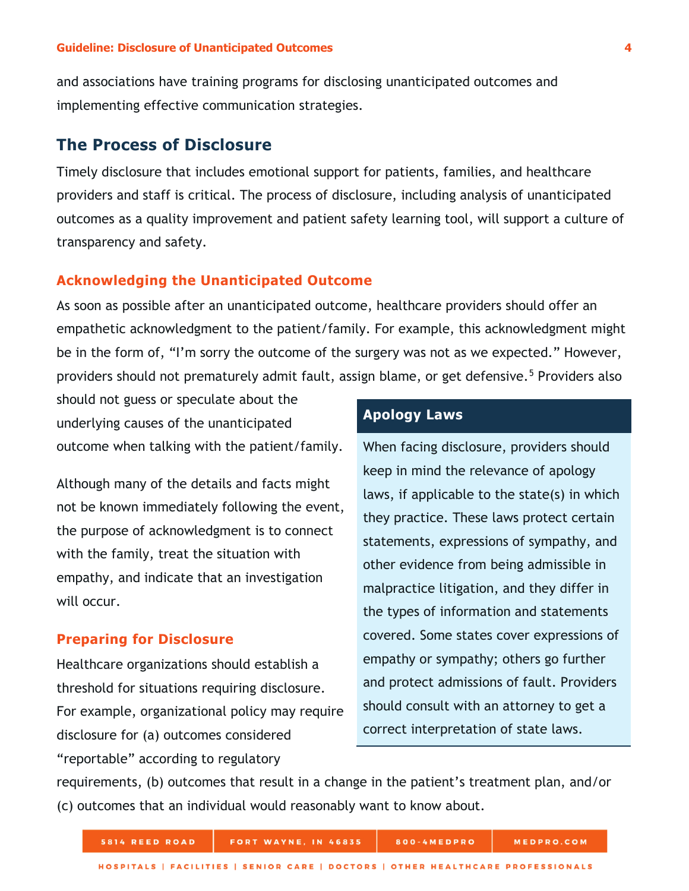and associations have training programs for disclosing unanticipated outcomes and implementing effective communication strategies.

## <span id="page-7-0"></span>**The Process of Disclosure**

Timely disclosure that includes emotional support for patients, families, and healthcare providers and staff is critical. The process of disclosure, including analysis of unanticipated outcomes as a quality improvement and patient safety learning tool, will support a culture of transparency and safety.

#### <span id="page-7-1"></span>**Acknowledging the Unanticipated Outcome**

As soon as possible after an unanticipated outcome, healthcare providers should offer an empathetic acknowledgment to the patient/family. For example, this acknowledgment might be in the form of, "I'm sorry the outcome of the surgery was not as we expected." However, providers should not prematurely admit fault, assign blame, or get defensive.<sup>[5](#page-15-5)</sup> Providers also

should not guess or speculate about the underlying causes of the unanticipated outcome when talking with the patient/family.

Although many of the details and facts might not be known immediately following the event, the purpose of acknowledgment is to connect with the family, treat the situation with empathy, and indicate that an investigation will occur.

#### <span id="page-7-2"></span>**Preparing for Disclosure**

Healthcare organizations should establish a threshold for situations requiring disclosure. For example, organizational policy may require disclosure for (a) outcomes considered "reportable" according to regulatory

### **Apology Laws**

When facing disclosure, providers should keep in mind the relevance of apology laws, if applicable to the state(s) in which they practice. These laws protect certain statements, expressions of sympathy, and other evidence from being admissible in malpractice litigation, and they differ in the types of information and statements covered. Some states cover expressions of empathy or sympathy; others go further and protect admissions of fault. Providers should consult with an attorney to get a correct interpretation of state laws.

requirements, (b) outcomes that result in a change in the patient's treatment plan, and/or (c) outcomes that an individual would reasonably want to know about.

| 5814 REED ROAD | FORT WAYNE, IN 46835                                                            | 800-4MEDPRO | <b>MEDPRO.COM</b> |
|----------------|---------------------------------------------------------------------------------|-------------|-------------------|
|                | HOSPITALS   FACILITIES   SENIOR CARE   DOCTORS   OTHER HEALTHCARE PROFESSIONALS |             |                   |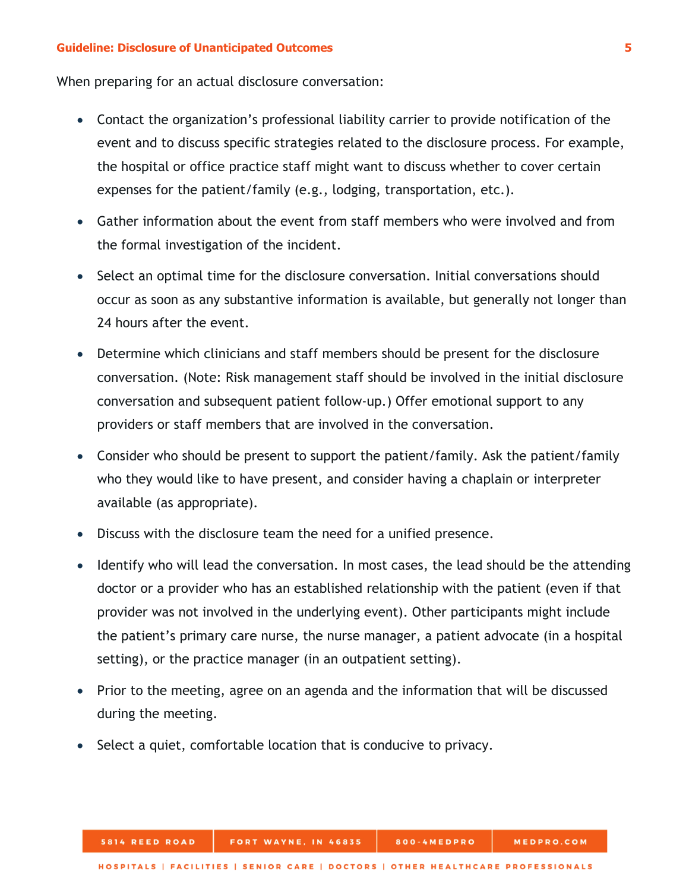When preparing for an actual disclosure conversation:

- Contact the organization's professional liability carrier to provide notification of the event and to discuss specific strategies related to the disclosure process. For example, the hospital or office practice staff might want to discuss whether to cover certain expenses for the patient/family (e.g., lodging, transportation, etc.).
- Gather information about the event from staff members who were involved and from the formal investigation of the incident.
- Select an optimal time for the disclosure conversation. Initial conversations should occur as soon as any substantive information is available, but generally not longer than 24 hours after the event.
- Determine which clinicians and staff members should be present for the disclosure conversation. (Note: Risk management staff should be involved in the initial disclosure conversation and subsequent patient follow-up.) Offer emotional support to any providers or staff members that are involved in the conversation.
- Consider who should be present to support the patient/family. Ask the patient/family who they would like to have present, and consider having a chaplain or interpreter available (as appropriate).
- Discuss with the disclosure team the need for a unified presence.
- Identify who will lead the conversation. In most cases, the lead should be the attending doctor or a provider who has an established relationship with the patient (even if that provider was not involved in the underlying event). Other participants might include the patient's primary care nurse, the nurse manager, a patient advocate (in a hospital setting), or the practice manager (in an outpatient setting).
- Prior to the meeting, agree on an agenda and the information that will be discussed during the meeting.
- Select a quiet, comfortable location that is conducive to privacy.

FORT WAYNE, IN 46835

5814 REED ROAD

800-4MEDPRO

MEDPRO.COM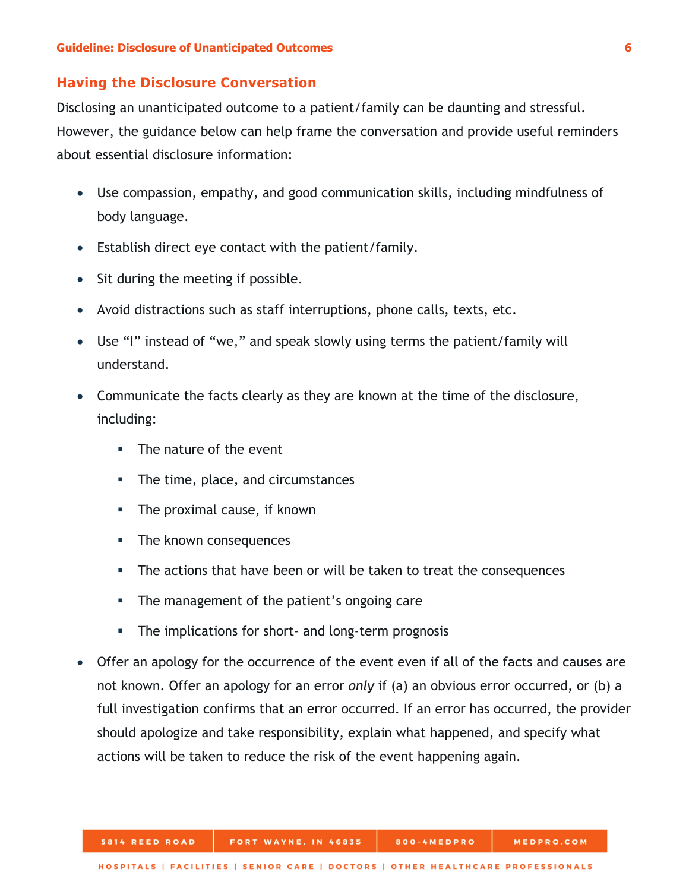#### <span id="page-9-0"></span>**Having the Disclosure Conversation**

Disclosing an unanticipated outcome to a patient/family can be daunting and stressful. However, the guidance below can help frame the conversation and provide useful reminders about essential disclosure information:

- Use compassion, empathy, and good communication skills, including mindfulness of body language.
- Establish direct eye contact with the patient/family.
- Sit during the meeting if possible.
- Avoid distractions such as staff interruptions, phone calls, texts, etc.
- Use "I" instead of "we," and speak slowly using terms the patient/family will understand.
- Communicate the facts clearly as they are known at the time of the disclosure, including:
	- **The nature of the event**
	- The time, place, and circumstances
	- **The proximal cause, if known**
	- **The known consequences**
	- The actions that have been or will be taken to treat the consequences
	- **The management of the patient's ongoing care**
	- The implications for short- and long-term prognosis
- Offer an apology for the occurrence of the event even if all of the facts and causes are not known. Offer an apology for an error *only* if (a) an obvious error occurred, or (b) a full investigation confirms that an error occurred. If an error has occurred, the provider should apologize and take responsibility, explain what happened, and specify what actions will be taken to reduce the risk of the event happening again.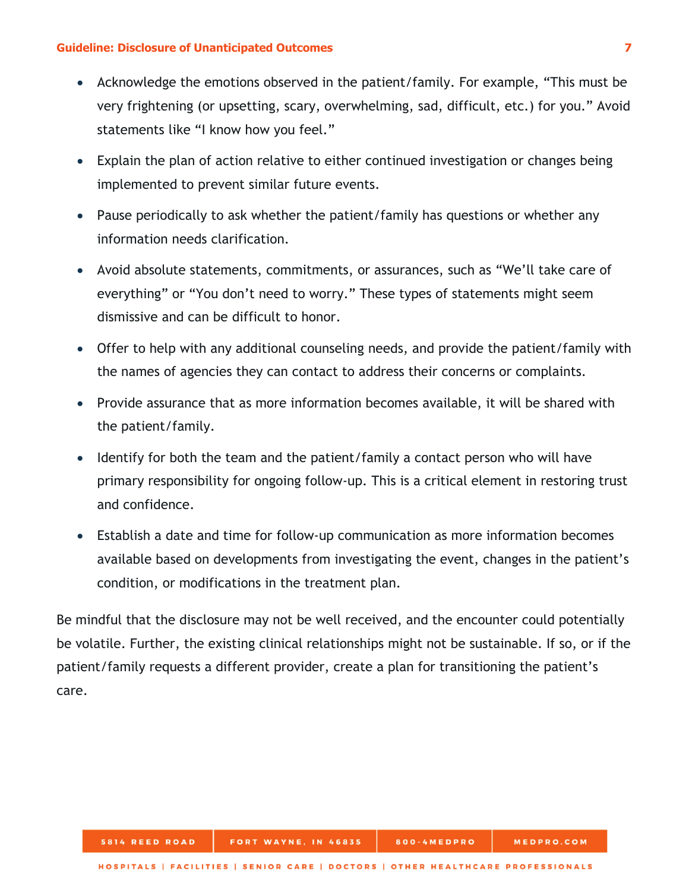- Acknowledge the emotions observed in the patient/family. For example, "This must be very frightening (or upsetting, scary, overwhelming, sad, difficult, etc.) for you." Avoid statements like "I know how you feel."
- Explain the plan of action relative to either continued investigation or changes being implemented to prevent similar future events.
- Pause periodically to ask whether the patient/family has questions or whether any information needs clarification.
- Avoid absolute statements, commitments, or assurances, such as "We'll take care of everything" or "You don't need to worry." These types of statements might seem dismissive and can be difficult to honor.
- Offer to help with any additional counseling needs, and provide the patient/family with the names of agencies they can contact to address their concerns or complaints.
- Provide assurance that as more information becomes available, it will be shared with the patient/family.
- Identify for both the team and the patient/family a contact person who will have primary responsibility for ongoing follow-up. This is a critical element in restoring trust and confidence.
- Establish a date and time for follow-up communication as more information becomes available based on developments from investigating the event, changes in the patient's condition, or modifications in the treatment plan.

Be mindful that the disclosure may not be well received, and the encounter could potentially be volatile. Further, the existing clinical relationships might not be sustainable. If so, or if the patient/family requests a different provider, create a plan for transitioning the patient's care.

800-4MEDPRO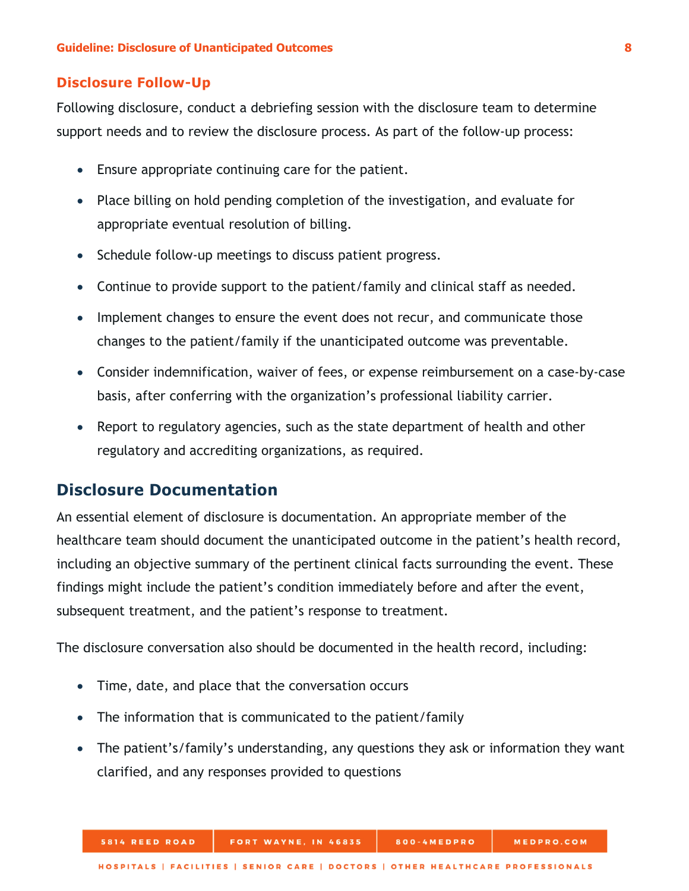#### <span id="page-11-0"></span>**Disclosure Follow-Up**

Following disclosure, conduct a debriefing session with the disclosure team to determine support needs and to review the disclosure process. As part of the follow-up process:

- Ensure appropriate continuing care for the patient.
- Place billing on hold pending completion of the investigation, and evaluate for appropriate eventual resolution of billing.
- Schedule follow-up meetings to discuss patient progress.
- Continue to provide support to the patient/family and clinical staff as needed.
- Implement changes to ensure the event does not recur, and communicate those changes to the patient/family if the unanticipated outcome was preventable.
- Consider indemnification, waiver of fees, or expense reimbursement on a case-by-case basis, after conferring with the organization's professional liability carrier.
- Report to regulatory agencies, such as the state department of health and other regulatory and accrediting organizations, as required.

## <span id="page-11-1"></span>**Disclosure Documentation**

An essential element of disclosure is documentation. An appropriate member of the healthcare team should document the unanticipated outcome in the patient's health record, including an objective summary of the pertinent clinical facts surrounding the event. These findings might include the patient's condition immediately before and after the event, subsequent treatment, and the patient's response to treatment.

The disclosure conversation also should be documented in the health record, including:

- Time, date, and place that the conversation occurs
- The information that is communicated to the patient/family
- The patient's/family's understanding, any questions they ask or information they want clarified, and any responses provided to questions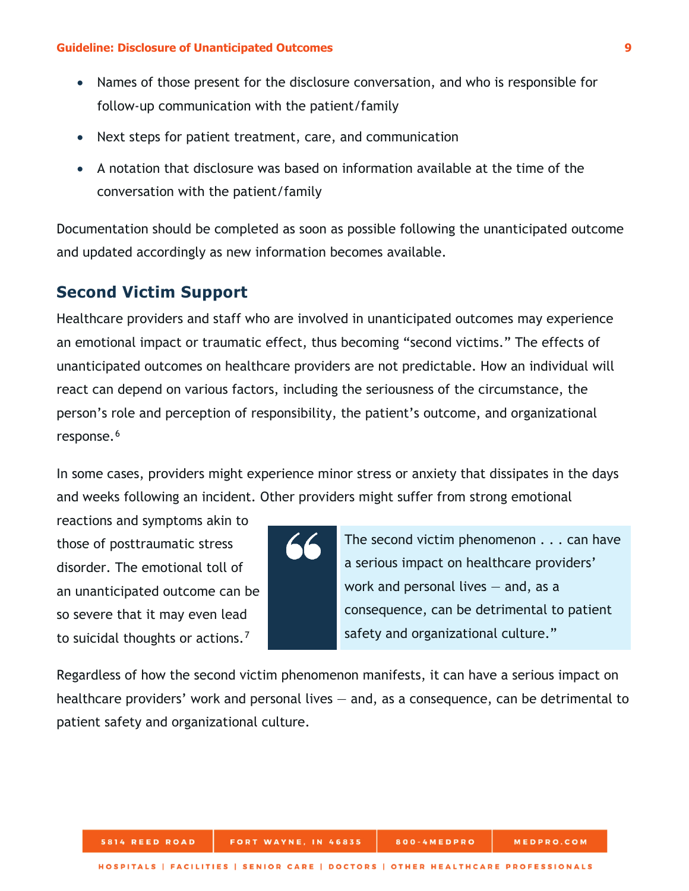- Names of those present for the disclosure conversation, and who is responsible for follow-up communication with the patient/family
- Next steps for patient treatment, care, and communication
- A notation that disclosure was based on information available at the time of the conversation with the patient/family

Documentation should be completed as soon as possible following the unanticipated outcome and updated accordingly as new information becomes available.

## <span id="page-12-0"></span>**Second Victim Support**

Healthcare providers and staff who are involved in unanticipated outcomes may experience an emotional impact or traumatic effect, thus becoming "second victims." The effects of unanticipated outcomes on healthcare providers are not predictable. How an individual will react can depend on various factors, including the seriousness of the circumstance, the person's role and perception of responsibility, the patient's outcome, and organizational response.<sup>[6](#page-15-6)</sup>

In some cases, providers might experience minor stress or anxiety that dissipates in the days and weeks following an incident. Other providers might suffer from strong emotional

reactions and symptoms akin to those of posttraumatic stress disorder. The emotional toll of an unanticipated outcome can be so severe that it may even lead to suicidal thoughts or actions.<sup>[7](#page-15-7)</sup>

The second victim phenomenon . . . can have a serious impact on healthcare providers' work and personal lives  $-$  and, as a consequence, can be detrimental to patient safety and organizational culture."

Regardless of how the second victim phenomenon manifests, it can have a serious impact on healthcare providers' work and personal lives – and, as a consequence, can be detrimental to patient safety and organizational culture.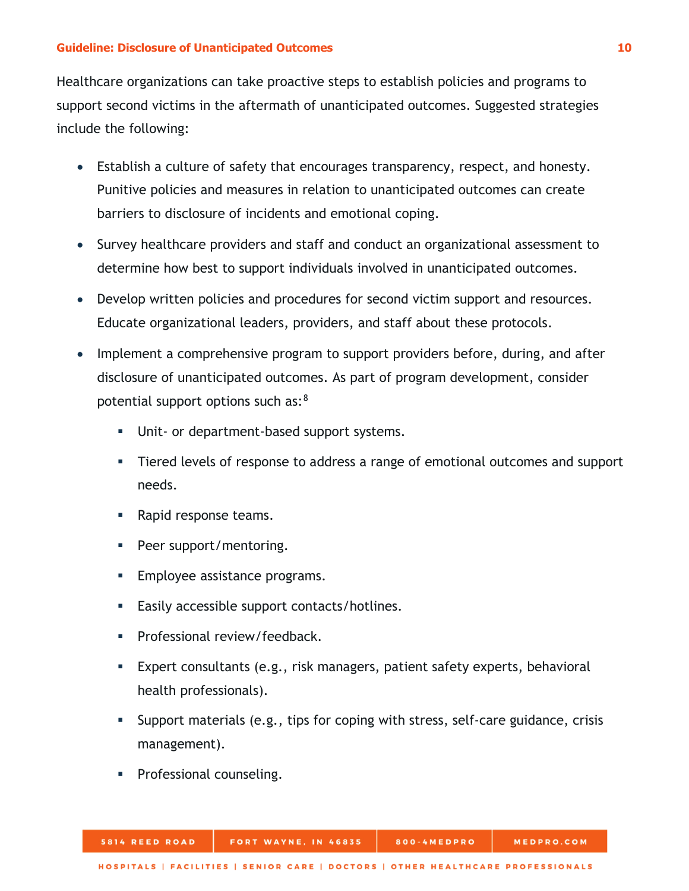Healthcare organizations can take proactive steps to establish policies and programs to support second victims in the aftermath of unanticipated outcomes. Suggested strategies include the following:

- Establish a culture of safety that encourages transparency, respect, and honesty. Punitive policies and measures in relation to unanticipated outcomes can create barriers to disclosure of incidents and emotional coping.
- Survey healthcare providers and staff and conduct an organizational assessment to determine how best to support individuals involved in unanticipated outcomes.
- Develop written policies and procedures for second victim support and resources. Educate organizational leaders, providers, and staff about these protocols.
- Implement a comprehensive program to support providers before, during, and after disclosure of unanticipated outcomes. As part of program development, consider potential support options such as:[8](#page-15-8)
	- **Unit- or department-based support systems.**
	- Tiered levels of response to address a range of emotional outcomes and support needs.
	- **Rapid response teams.**
	- Peer support/mentoring.
	- **Employee assistance programs.**
	- **Easily accessible support contacts/hotlines.**
	- **Professional review/feedback.**
	- Expert consultants (e.g., risk managers, patient safety experts, behavioral health professionals).
	- Support materials (e.g., tips for coping with stress, self-care guidance, crisis management).
	- **Professional counseling.**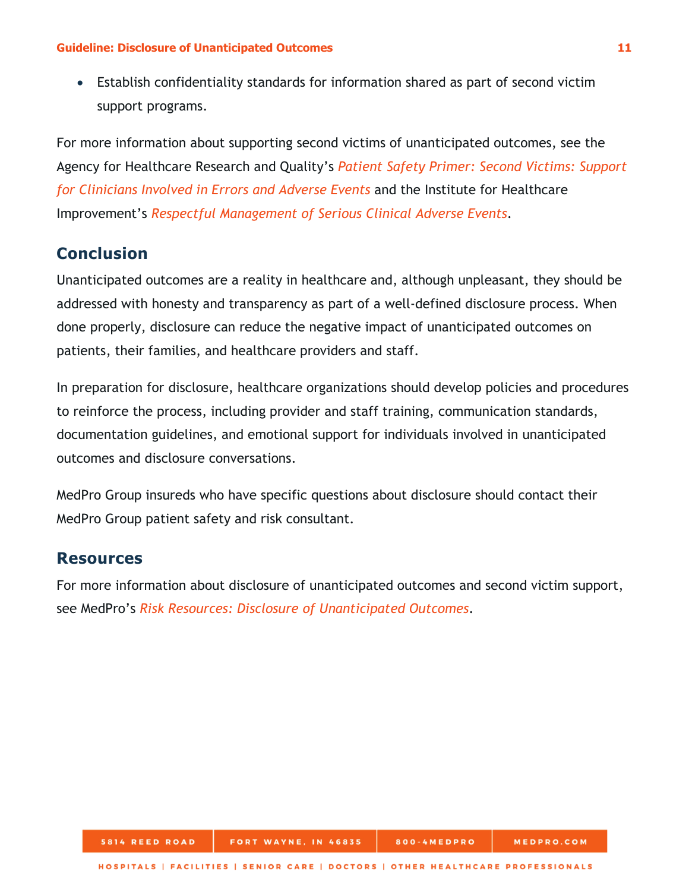• Establish confidentiality standards for information shared as part of second victim support programs.

For more information about supporting second victims of unanticipated outcomes, see the Agency for Healthcare Research and Quality's *[Patient Safety Primer: Second Victims: Support](https://psnet.ahrq.gov/primers/primer/30/support-for-clinicians-involved-in-errors-and-adverse-events-second-victims)  [for Clinicians Involved in Errors and Adverse Events](https://psnet.ahrq.gov/primers/primer/30/support-for-clinicians-involved-in-errors-and-adverse-events-second-victims)* and the Institute for Healthcare Improvement's *[Respectful Management of Serious Clinical Adverse Events](http://www.ihi.org/resources/Pages/IHIWhitePapers/RespectfulManagementSeriousClinicalAEsWhitePaper.aspx)*.

## <span id="page-14-0"></span>**Conclusion**

Unanticipated outcomes are a reality in healthcare and, although unpleasant, they should be addressed with honesty and transparency as part of a well-defined disclosure process. When done properly, disclosure can reduce the negative impact of unanticipated outcomes on patients, their families, and healthcare providers and staff.

In preparation for disclosure, healthcare organizations should develop policies and procedures to reinforce the process, including provider and staff training, communication standards, documentation guidelines, and emotional support for individuals involved in unanticipated outcomes and disclosure conversations.

MedPro Group insureds who have specific questions about disclosure should contact their MedPro Group patient safety and risk consultant.

### <span id="page-14-1"></span>**Resources**

For more information about disclosure of unanticipated outcomes and second victim support, see MedPro's *[Risk Resources: Disclosure of Unanticipated Outcomes](https://www.medpro.com/documents/10502/2824311/Risk+Resources_Disclosure+of+Unanticipated+Outcomes.pdf)*.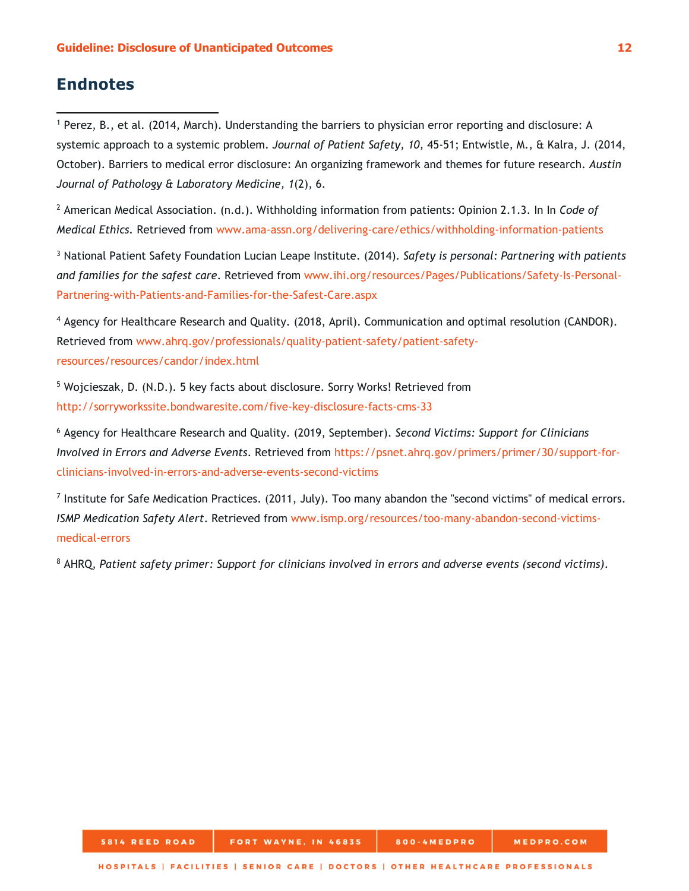## <span id="page-15-0"></span>**Endnotes**

l

<span id="page-15-1"></span><sup>1</sup> Perez, B., et al. (2014, March). Understanding the barriers to physician error reporting and disclosure: A systemic approach to a systemic problem. *Journal of Patient Safety, 10,* 45-51; Entwistle, M., & Kalra, J. (2014, October). Barriers to medical error disclosure: An organizing framework and themes for future research. *Austin Journal of Pathology & Laboratory Medicine, 1*(2), 6.

<span id="page-15-2"></span><sup>2</sup> American Medical Association. (n.d.). Withholding information from patients: Opinion 2.1.3. In In *Code of Medical Ethics.* Retrieved from [www.ama-assn.org/delivering-care/ethics/withholding-information-patients](http://www.ama-assn.org/delivering-care/ethics/withholding-information-patients)

<span id="page-15-3"></span><sup>3</sup> National Patient Safety Foundation Lucian Leape Institute. (2014). *Safety is personal: Partnering with patients and families for the safest care*. Retrieved from [www.ihi.org/resources/Pages/Publications/Safety-Is-Personal-](http://www.ihi.org/resources/Pages/Publications/Safety-Is-Personal-Partnering-with-Patients-and-Families-for-the-Safest-Care.aspx)[Partnering-with-Patients-and-Families-for-the-Safest-Care.aspx](http://www.ihi.org/resources/Pages/Publications/Safety-Is-Personal-Partnering-with-Patients-and-Families-for-the-Safest-Care.aspx)

<span id="page-15-4"></span><sup>4</sup> Agency for Healthcare Research and Quality. (2018, April). Communication and optimal resolution (CANDOR). Retrieved from [www.ahrq.gov/professionals/quality-patient-safety/patient-safety](http://www.ahrq.gov/professionals/quality-patient-safety/patient-safety-resources/resources/candor/index.html)[resources/resources/candor/index.html](http://www.ahrq.gov/professionals/quality-patient-safety/patient-safety-resources/resources/candor/index.html)

<span id="page-15-5"></span><sup>5</sup> Wojcieszak, D. (N.D.). 5 key facts about disclosure. Sorry Works! Retrieved from <http://sorryworkssite.bondwaresite.com/five-key-disclosure-facts-cms-33>

<span id="page-15-6"></span><sup>6</sup> Agency for Healthcare Research and Quality. (2019, September). *Second Victims: Support for Clinicians Involved in Errors and Adverse Events*. Retrieved from [https://psnet.ahrq.gov/primers/primer/30/support-for](https://psnet.ahrq.gov/primers/primer/30/support-for-clinicians-involved-in-errors-and-adverse-events-second-victims)[clinicians-involved-in-errors-and-adverse-events-second-victims](https://psnet.ahrq.gov/primers/primer/30/support-for-clinicians-involved-in-errors-and-adverse-events-second-victims)

<span id="page-15-7"></span> $<sup>7</sup>$  Institute for Safe Medication Practices. (2011, July). Too many abandon the "second victims" of medical errors.</sup> *ISMP Medication Safety Alert*. Retrieved from [www.ismp.org/resources/too-many-abandon-second-victims](http://www.ismp.org/resources/too-many-abandon-second-victims-medical-errors)[medical-errors](http://www.ismp.org/resources/too-many-abandon-second-victims-medical-errors)

<span id="page-15-8"></span><sup>8</sup> AHRQ, *Patient safety primer: Support for clinicians involved in errors and adverse events (second victims)*.

800-4MEDPRO